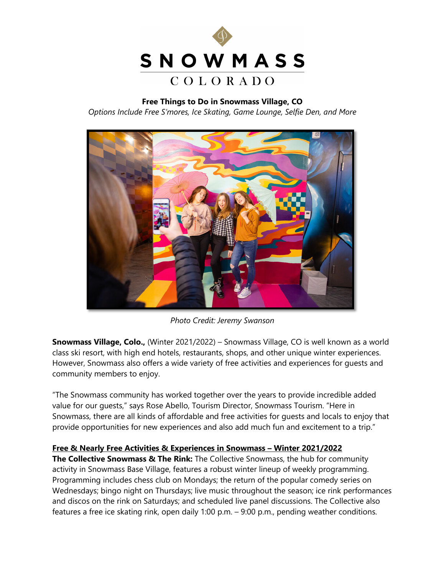

**Free Things to Do in Snowmass Village, CO** *Options Include Free S'mores, Ice Skating, Game Lounge, Selfie Den, and More*



*Photo Credit: Jeremy Swanson*

**Snowmass Village, Colo.,** (Winter 2021/2022) – Snowmass Village, CO is well known as a world class ski resort, with high end hotels, restaurants, shops, and other unique winter experiences. However, Snowmass also offers a wide variety of free activities and experiences for guests and community members to enjoy.

"The Snowmass community has worked together over the years to provide incredible added value for our guests," says Rose Abello, Tourism Director, Snowmass Tourism. "Here in Snowmass, there are all kinds of affordable and free activities for guests and locals to enjoy that provide opportunities for new experiences and also add much fun and excitement to a trip."

## **Free & Nearly Free Activities & Experiences in Snowmass – Winter 2021/2022**

**The Collective Snowmass & The Rink:** The Collective Snowmass, the hub for community activity in Snowmass Base Village, features a robust winter lineup of weekly programming. Programming includes chess club on Mondays; the return of the popular comedy series on Wednesdays; bingo night on Thursdays; live music throughout the season; ice rink performances and discos on the rink on Saturdays; and scheduled live panel discussions. The Collective also features a free ice skating rink, open daily 1:00 p.m. – 9:00 p.m., pending weather conditions.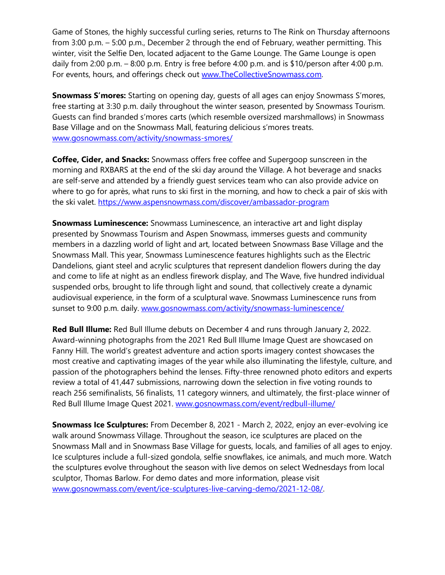Game of Stones, the highly successful curling series, returns to The Rink on Thursday afternoons from 3:00 p.m. – 5:00 p.m., December 2 through the end of February, weather permitting. This winter, visit the Selfie Den, located adjacent to the Game Lounge. The Game Lounge is open daily from 2:00 p.m. – 8:00 p.m. Entry is free before 4:00 p.m. and is \$10/person after 4:00 p.m. For events, hours, and offerings check out [www.TheCollectiveSnowmass.com.](http://www.thecollectivesnowmass.com/)

**Snowmass S'mores:** Starting on opening day, guests of all ages can enjoy Snowmass S'mores, free starting at 3:30 p.m. daily throughout the winter season, presented by Snowmass Tourism. Guests can find branded s'mores carts (which resemble oversized marshmallows) in Snowmass Base Village and on the Snowmass Mall, featuring delicious s'mores treats. [www.gosnowmass.com/activity/snowmass-smores/](http://www.gosnowmass.com/activity/snowmass-smores/)

**Coffee, Cider, and Snacks:** Snowmass offers free coffee and Supergoop sunscreen in the morning and RXBARS at the end of the ski day around the Village. A hot beverage and snacks are self-serve and attended by a friendly guest services team who can also provide advice on where to go for après, what runs to ski first in the morning, and how to check a pair of skis with the ski valet.<https://www.aspensnowmass.com/discover/ambassador-program>

**Snowmass Luminescence:** Snowmass Luminescence, an interactive art and light display presented by Snowmass Tourism and Aspen Snowmass, immerses guests and community members in a dazzling world of light and art, located between Snowmass Base Village and the Snowmass Mall. This year, Snowmass Luminescence features highlights such as the Electric Dandelions, giant steel and acrylic sculptures that represent dandelion flowers during the day and come to life at night as an endless firework display, and The Wave, five hundred individual suspended orbs, brought to life through light and sound, that collectively create a dynamic audiovisual experience, in the form of a sculptural wave. Snowmass Luminescence runs from sunset to 9:00 p.m. daily. [www.gosnowmass.com/activity/snowmass-luminescence/](http://www.gosnowmass.com/activity/snowmass-luminescence/) 

**Red Bull Illume:** Red Bull Illume debuts on December 4 and runs through January 2, 2022. Award-winning photographs from the 2021 Red Bull Illume Image Quest are showcased on Fanny Hill. The world's greatest adventure and action sports imagery contest showcases the most creative and captivating images of the year while also illuminating the lifestyle, culture, and passion of the photographers behind the lenses. Fifty-three renowned photo editors and experts review a total of 41,447 submissions, narrowing down the selection in five voting rounds to reach 256 semifinalists, 56 finalists, 11 category winners, and ultimately, the first-place winner of Red Bull Illume Image Quest 2021. [www.gosnowmass.com/event/redbull-illume/](https://www.gosnowmass.com/event/redbull-illume/)

**Snowmass Ice Sculptures:** From December 8, 2021 - March 2, 2022, enjoy an ever-evolving ice walk around Snowmass Village. Throughout the season, ice sculptures are placed on the Snowmass Mall and in Snowmass Base Village for guests, locals, and families of all ages to enjoy. Ice sculptures include a full-sized gondola, selfie snowflakes, ice animals, and much more. Watch the sculptures evolve throughout the season with live demos on select Wednesdays from local sculptor, Thomas Barlow. For demo dates and more information, please visit [www.gosnowmass.com/event/ice-sculptures-live-carving-demo/2021-12-08/.](http://www.gosnowmass.com/event/ice-sculptures-live-carving-demo/2021-12-08/)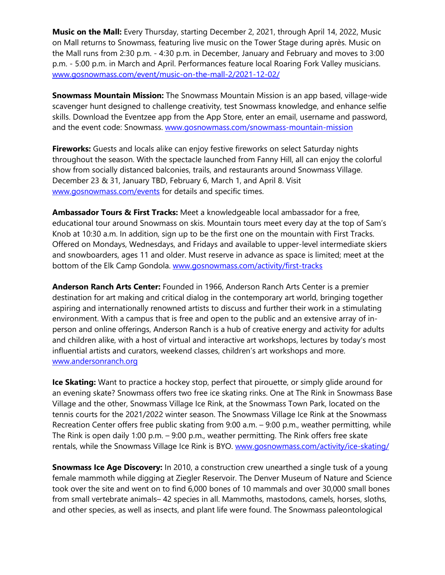**Music on the Mall:** Every Thursday, starting December 2, 2021, through April 14, 2022, Music on Mall returns to Snowmass, featuring live music on the Tower Stage during après. Music on the Mall runs from 2:30 p.m. - 4:30 p.m. in December, January and February and moves to 3:00 p.m. - 5:00 p.m. in March and April. Performances feature local Roaring Fork Valley musicians. [www.gosnowmass.com/event/music-on-the-mall-2/2021-12-02/](http://www.gosnowmass.com/event/music-on-the-mall-2/2021-12-02/)

**Snowmass Mountain Mission:** The Snowmass Mountain Mission is an app based, village-wide scavenger hunt designed to challenge creativity, test Snowmass knowledge, and enhance selfie skills. Download the Eventzee app from the App Store, enter an email, username and password, and the event code: Snowmass. [www.gosnowmass.com/snowmass-mountain-mission](http://www.gosnowmass.com/snowmass-mountain-mission)

**Fireworks:** Guests and locals alike can enjoy festive fireworks on select Saturday nights throughout the season. With the spectacle launched from Fanny Hill, all can enjoy the colorful show from socially distanced balconies, trails, and restaurants around Snowmass Village. December 23 & 31, January TBD, February 6, March 1, and April 8. Visit [www.gosnowmass.com/events](http://www.gosnowmass.com/events) for details and specific times.

**Ambassador Tours & First Tracks:** Meet a knowledgeable local ambassador for a free, educational tour around Snowmass on skis. Mountain tours meet every day at the top of Sam's Knob at 10:30 a.m. In addition, sign up to be the first one on the mountain with First Tracks. Offered on Mondays, Wednesdays, and Fridays and available to upper-level intermediate skiers and snowboarders, ages 11 and older. Must reserve in advance as space is limited; meet at the bottom of the Elk Camp Gondola. [www.gosnowmass.com/activity/first-tracks](http://www.gosnowmass.com/activity/first-tracks)

**Anderson Ranch Arts Center:** Founded in 1966, Anderson Ranch Arts Center is a premier destination for art making and critical dialog in the contemporary art world, bringing together aspiring and internationally renowned artists to discuss and further their work in a stimulating environment. With a campus that is free and open to the public and an extensive array of inperson and online offerings, Anderson Ranch is a hub of creative energy and activity for adults and children alike, with a host of virtual and interactive art workshops, lectures by today's most influential artists and curators, weekend classes, children's art workshops and more. [www.andersonranch.org](http://www.andersonranch.org/)

**Ice Skating:** Want to practice a hockey stop, perfect that pirouette, or simply glide around for an evening skate? Snowmass offers two free ice skating rinks. One at The Rink in Snowmass Base Village and the other, Snowmass Village Ice Rink, at the Snowmass Town Park, located on the tennis courts for the 2021/2022 winter season. The Snowmass Village Ice Rink at the Snowmass Recreation Center offers free public skating from 9:00 a.m. – 9:00 p.m., weather permitting, while The Rink is open daily 1:00 p.m. – 9:00 p.m., weather permitting. The Rink offers free skate rentals, while the Snowmass Village Ice Rink is BYO. [www.gosnowmass.com/activity/ice-skating/](http://www.gosnowmass.com/activity/ice-skating/)

**Snowmass Ice Age Discovery:** In 2010, a construction crew unearthed a single tusk of a young female mammoth while digging at Ziegler Reservoir. The Denver Museum of Nature and Science took over the site and went on to find 6,000 bones of 10 mammals and over 30,000 small bones from small vertebrate animals– 42 species in all. Mammoths, mastodons, camels, horses, sloths, and other species, as well as insects, and plant life were found. The Snowmass paleontological